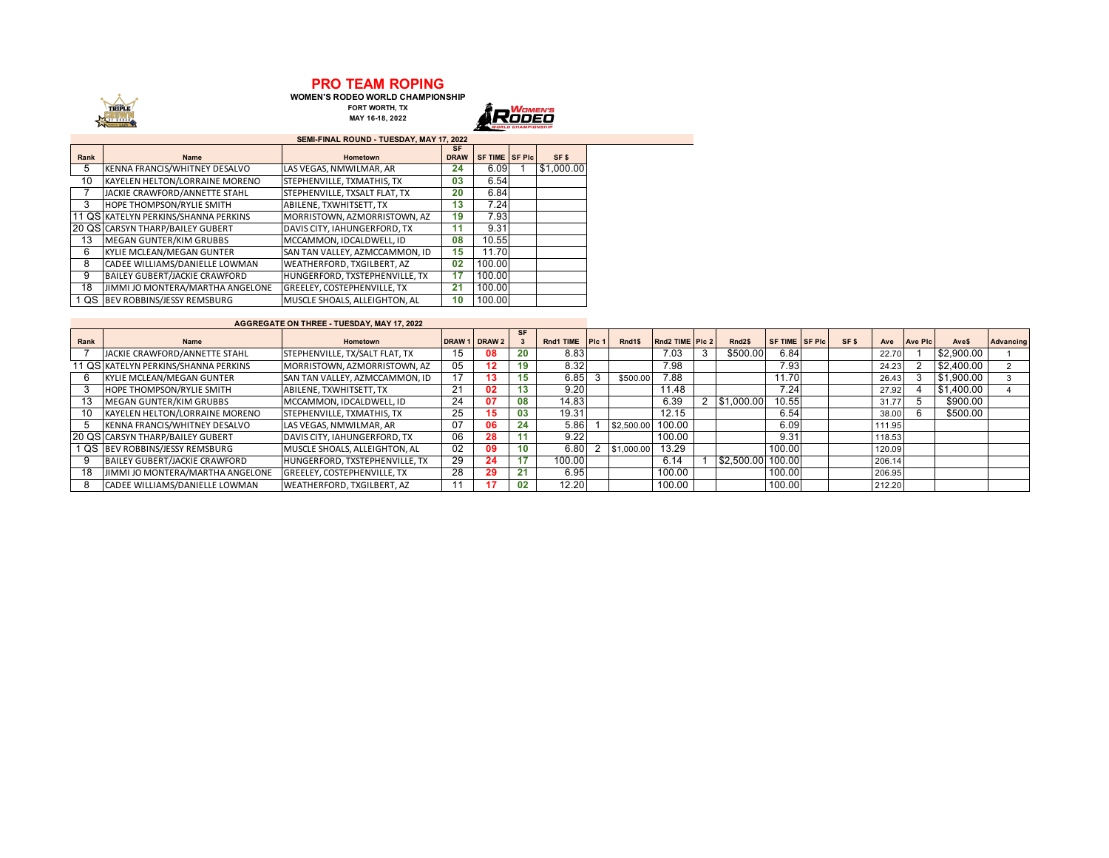## **PRO TEAM ROPING WOMEN'S RODEO WORLD CHAMPIONSHIP**

TRIPLE

**FORT WORTH, TX MAY 16-18, 2022**



|      | SEMI-FINAL ROUND - TUESDAY, MAY 17, 2022 |                                    |                          |                        |  |                  |  |  |  |  |  |  |  |  |
|------|------------------------------------------|------------------------------------|--------------------------|------------------------|--|------------------|--|--|--|--|--|--|--|--|
| Rank | Name                                     | Hometown                           | <b>SF</b><br><b>DRAW</b> | <b>SF TIME ISF PIC</b> |  | SF <sub>\$</sub> |  |  |  |  |  |  |  |  |
| 5    | KENNA FRANCIS/WHITNEY DESALVO            | LAS VEGAS, NMWILMAR, AR            | 24                       | 6.09                   |  | \$1,000.00       |  |  |  |  |  |  |  |  |
| 10   | KAYELEN HELTON/LORRAINE MORENO           | STEPHENVILLE, TXMATHIS, TX         | 03                       | 6.54                   |  |                  |  |  |  |  |  |  |  |  |
|      | JACKIE CRAWFORD/ANNETTE STAHL            | STEPHENVILLE, TXSALT FLAT, TX      | 20                       | 6.84                   |  |                  |  |  |  |  |  |  |  |  |
| 3    | <b>HOPE THOMPSON/RYLIE SMITH</b>         | ABILENE. TXWHITSETT. TX            | 13                       | 7.24                   |  |                  |  |  |  |  |  |  |  |  |
|      | 11 QS KATELYN PERKINS/SHANNA PERKINS     | MORRISTOWN, AZMORRISTOWN, AZ       | 19                       | 7.93                   |  |                  |  |  |  |  |  |  |  |  |
|      | 20 QS CARSYN THARP/BAILEY GUBERT         | DAVIS CITY, IAHUNGERFORD, TX       | 11                       | 9.31                   |  |                  |  |  |  |  |  |  |  |  |
| 13   | MEGAN GUNTER/KIM GRUBBS                  | MCCAMMON. IDCALDWELL. ID           | 08                       | 10.55                  |  |                  |  |  |  |  |  |  |  |  |
| 6    | KYLIE MCLEAN/MEGAN GUNTER                | SAN TAN VALLEY, AZMCCAMMON, ID     | 15                       | 11.70                  |  |                  |  |  |  |  |  |  |  |  |
| 8    | CADEE WILLIAMS/DANIELLE LOWMAN           | <b>WEATHERFORD, TXGILBERT, AZ</b>  | 02                       | 100.00                 |  |                  |  |  |  |  |  |  |  |  |
| 9    | BAILEY GUBERT/JACKIE CRAWFORD            | HUNGERFORD. TXSTEPHENVILLE. TX     | 17                       | 100.00                 |  |                  |  |  |  |  |  |  |  |  |
| 18   | JIMMI JO MONTERA/MARTHA ANGELONE         | <b>GREELEY. COSTEPHENVILLE. TX</b> | 21                       | 100.00                 |  |                  |  |  |  |  |  |  |  |  |
|      | 1 QS BEV ROBBINS/JESSY REMSBURG          | MUSCLE SHOALS, ALLEIGHTON, AL      | 10                       | 100.00                 |  |                  |  |  |  |  |  |  |  |  |

| <b>AGGREGATE ON THREE - TUESDAY, MAY 17, 2022</b> |                                      |                                    |                   |                  |           |           |       |              |                 |                    |                       |                  |        |                |            |           |
|---------------------------------------------------|--------------------------------------|------------------------------------|-------------------|------------------|-----------|-----------|-------|--------------|-----------------|--------------------|-----------------------|------------------|--------|----------------|------------|-----------|
| Rank                                              | <b>Name</b>                          | Hometown                           | DRAW <sub>1</sub> | DRAW 2           | <b>SF</b> | Rnd1 TIME | Pic 1 | Rnd1\$       | Rnd2 TIME PIc 2 | Rnd <sub>2\$</sub> | <b>SF TIME SF PIC</b> | SF <sub>\$</sub> | Ave    | <b>Ave Pic</b> | Ave\$      | Advancing |
|                                                   | JACKIE CRAWFORD/ANNETTE STAHL        | STEPHENVILLE, TX/SALT FLAT, TX     | 15                | 08               | 20        | 8.83      |       |              | 7.03            | \$500.00           | 6.84                  |                  | 22.70  |                | \$2,900.00 |           |
|                                                   | 11 QS KATELYN PERKINS/SHANNA PERKINS | MORRISTOWN, AZMORRISTOWN, AZ       | 05                | 12 <sup>12</sup> | 19        | 8.32      |       |              | 7.98            |                    | 7.93                  |                  | 24.23  |                | \$2,400.00 |           |
| 6                                                 | <b>KYLIE MCLEAN/MEGAN GUNTER</b>     | SAN TAN VALLEY, AZMCCAMMON, ID     | 47                |                  | 15        | 6.85      |       | \$500.00     | 7.88            |                    | 11.70                 |                  | 26.43  |                | \$1,900.00 |           |
|                                                   | HOPE THOMPSON/RYLIE SMITH            | ABILENE, TXWHITSETT, TX            | 21                | 02               | 13        | 9.20      |       |              | 11.48           |                    | 7.24                  |                  | 27.92  |                | \$1,400.00 |           |
| 13                                                | MEGAN GUNTER/KIM GRUBBS              | MCCAMMON. IDCALDWELL. ID           | 24                | 07               | 08        | 14.83     |       |              | 6.39            | \$1,000.00         | 10.55                 |                  | 31.7   |                | \$900.00   |           |
| 10                                                | KAYELEN HELTON/LORRAINE MORENO       | STEPHENVILLE, TXMATHIS, TX         | 25                |                  | 03        | 19.31     |       |              | 12.15           |                    | 6.54                  |                  | 38.00  |                | \$500.00   |           |
|                                                   | KENNA FRANCIS/WHITNEY DESALVO        | LAS VEGAS, NMWILMAR, AR            | 07                | 06               | 24        | 5.86      |       | \$2,500.00   | 100.00          |                    | 6.09                  |                  | 111.95 |                |            |           |
|                                                   | 20 QS CARSYN THARP/BAILEY GUBERT     | DAVIS CITY. IAHUNGERFORD. TX       | 06                | 28               |           | 9.22      |       |              | 100.00          |                    | 9.31                  |                  | 118.53 |                |            |           |
|                                                   | I QS BEV ROBBINS/JESSY REMSBURG      | MUSCLE SHOALS, ALLEIGHTON, AL      | 02 <sup>2</sup>   | 09               | 10        | 6.80      |       | 2 \$1,000.00 | 13.29           |                    | 100.00                |                  | 120.09 |                |            |           |
|                                                   | BAILEY GUBERT/JACKIE CRAWFORD        | HUNGERFORD. TXSTEPHENVILLE. TX     | 29                | 24               | 17        | 100.00    |       |              | 6.14            | \$2,500.00 100.00  |                       |                  | 206.14 |                |            |           |
| 18                                                | JIMMI JO MONTERA/MARTHA ANGELONE     | <b>GREELEY. COSTEPHENVILLE. TX</b> | 28                | 29               | 21        | 6.95      |       |              | 100.00          |                    | 100.00                |                  | 206.95 |                |            |           |
|                                                   | CADEE WILLIAMS/DANIELLE LOWMAN       | WEATHERFORD, TXGILBERT, AZ         |                   |                  | 02        | 12.20     |       |              | 100.00          |                    | 100.00                |                  | 212.20 |                |            |           |